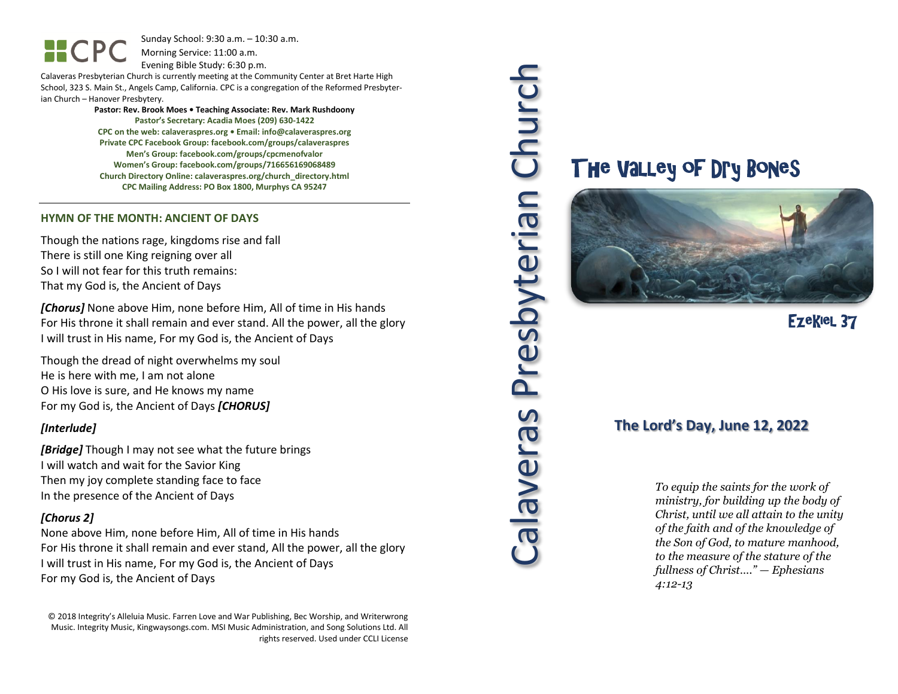Sunday School: 9:30 a.m. – 10:30 a.m. Morning Service: 11:00 a.m.

Evening Bible Study: 6:30 p.m.

Calaveras Presbyterian Church is currently meeting at the Community Center at Bret Harte High School, 323 S. Main St., Angels Camp, California. CPC is a congregation of the Reformed Presbyterian Church – Hanover Presbytery.

> **Pastor: Rev. Brook Moes • Teaching Associate: Rev. Mark Rushdoony Pastor's Secretary: Acadia Moes (209) 630-1422 CPC on the web: calaveraspres.org • Email: [info@calaveraspres.org](mailto:info@calaveraspres.org) Private CPC Facebook Group: facebook.com/groups/calaveraspres Men's Group: facebook.com/groups/cpcmenofvalor Women's Group: facebook.com/groups/716656169068489 Church Directory Online: calaveraspres.org/church\_directory.html CPC Mailing Address: PO Box 1800, Murphys CA 95247**

#### **HYMN OF THE MONTH: ANCIENT OF DAYS**

Though the nations rage, kingdoms rise and fall There is still one King reigning over all So I will not fear for this truth remains: That my God is, the Ancient of Days

*[Chorus]* None above Him, none before Him, All of time in His hands For His throne it shall remain and ever stand. All the power, all the glory I will trust in His name, For my God is, the Ancient of Days

Though the dread of night overwhelms my soul He is here with me, I am not alone O His love is sure, and He knows my name For my God is, the Ancient of Days *[CHORUS]*

### *[Interlude]*

*[Bridge]* Though I may not see what the future brings I will watch and wait for the Savior King Then my joy complete standing face to face In the presence of the Ancient of Days

### *[Chorus 2]*

None above Him, none before Him, All of time in His hands For His throne it shall remain and ever stand, All the power, all the glory I will trust in His name, For my God is, the Ancient of Days For my God is, the Ancient of Days

© 2018 Integrity's Alleluia Music. Farren Love and War Publishing, Bec Worship, and Writerwrong Music. Integrity Music, Kingwaysongs.com. MSI Music Administration, and Song Solutions Ltd. All rights reserved. Used under CCLI License

# The Valley of Dry Bones



## **The Lord's Day, June 12, 2022**

*To equip the saints for the work of ministry, for building up the body of Christ, until we all attain to the unity of the faith and of the knowledge of the Son of God, to mature manhood, to the measure of the stature of the fullness of Christ…." — Ephesians 4:12-13*